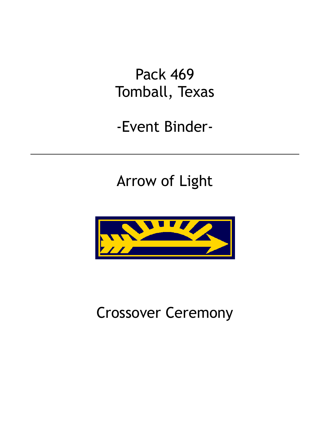Pack 469 Tomball, Texas

-Event Binder-

Arrow of Light



Crossover Ceremony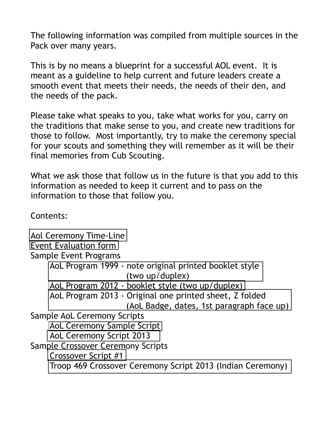The following information was compiled from multiple sources in the Pack over many years.

This is by no means a blueprint for a successful AOL event. It is meant as a guideline to help current and future leaders create a smooth event that meets their needs, the needs of their den, and the needs of the pack.

Please take what speaks to you, take what works for you, carry on the traditions that make sense to you, and create new traditions for those to follow. Most importantly, try to make the ceremony special for your scouts and something they will remember as it will be their final memories from Cub Scouting.

What we ask those that follow us in the future is that you add to this information as needed to keep it current and to pass on the information to those that follow you.

Contents:

[Aol Ceremony Time-Line](#page-2-0) [Event Evaluation form](#page-4-0) Sample Event Programs [AoL Program 1999 - note original printed booklet style](#page-5-0) (two up/duplex) [AoL Program 2012 - booklet style \(two up/duplex\)](#page-9-0) [AoL Program 2013 - Original one printed sheet, Z folded](#page-11-0)  (AoL Badge, dates, 1st paragraph face up) Sample AoL Ceremony Scripts [AoL Ceremony Sample Script](#page-12-0)  [AoL Ceremony Script 2013](#page-15-0) Sample Crossover Ceremony Scripts [Crossover Script #1](#page-17-0) [Troop 469 Crossover Ceremony Script 2013 \(Indian Ceremony\)](#page-18-0)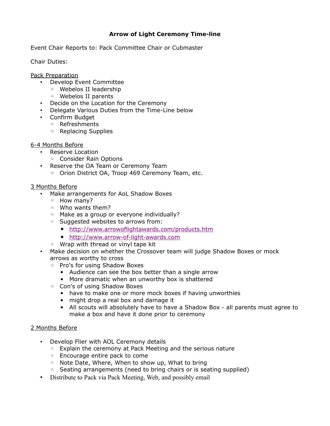## **Arrow of Light Ceremony Time-line**

<span id="page-2-0"></span>Event Chair Reports to: Pack Committee Chair or Cubmaster

Chair Duties:

Pack Preparation

- Develop Event Committee
	- Webelos II leadership
	- Webelos II parents
- Decide on the Location for the Ceremony
- Delegate Various Duties from the Time-Line below
- Confirm Budget
	- Refreshments
	- Replacing Supplies

#### 6-4 Months Before

- Reserve Location
	- Consider Rain Options
- Reserve the OA Team or Ceremony Team
	- Orion District OA, Troop 469 Ceremony Team, etc.

#### 3 Months Before

- Make arrangements for AoL Shadow Boxes
	- How many?
	- Who wants them?
	- Make as a group or everyone individually?
	- Suggested websites to arrows from:
		- <http://www.arrowoflightawards.com/products.htm>
		- [http://www.arrow-of-light-awards.com](http://www.arrow-of-light-awards.com/)
	- Wrap with thread or vinyl tape kit
- Make decision on whether the Crossover team will judge Shadow Boxes or mock arrows as worthy to cross
	- Pro's for using Shadow Boxes
		- Audience can see the box better than a single arrow
		- More dramatic when an unworthy box is shattered
	- Con's of using Shadow Boxes
		- have to make one or more mock boxes if having unworthies
		- might drop a real box and damage it
		- **EXEC** All scouts will absolutely have to have a Shadow Box all parents must agree to make a box and have it done prior to ceremony

#### 2 Months Before

- Develop Flier with AOL Ceremony details
	- Explain the ceremony at Pack Meeting and the serious nature
	- Encourage entire pack to come
	- Note Date, Where, When to show up, What to bring
	- Seating arrangements (need to bring chairs or is seating supplied)
- Distribute to Pack via Pack Meeting, Web, and possibly email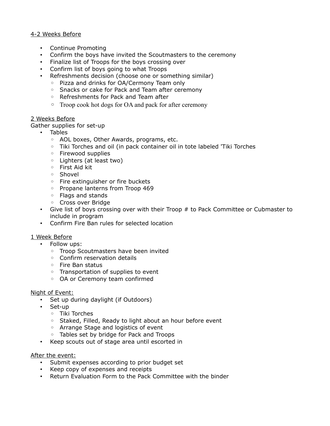#### 4-2 Weeks Before

- Continue Promoting
- Confirm the boys have invited the Scoutmasters to the ceremony
- Finalize list of Troops for the boys crossing over
- Confirm list of boys going to what Troops
- Refreshments decision (choose one or something similar)
	- Pizza and drinks for OA/Cermony Team only
	- Snacks or cake for Pack and Team after ceremony
	- Refreshments for Pack and Team after
	- Troop cook hot dogs for OA and pack for after ceremony

#### 2 Weeks Before

Gather supplies for set-up

- Tables
	- AOL boxes, Other Awards, programs, etc.
	- Tiki Torches and oil (in pack container oil in tote labeled 'Tiki Torches
	- Firewood supplies
	- Lighters (at least two)
	- First Aid kit
	- Shovel
	- Fire extinguisher or fire buckets
	- Propane lanterns from Troop 469
	- Flags and stands
	- Cross over Bridge
- Give list of boys crossing over with their Troop # to Pack Committee or Cubmaster to include in program
- Confirm Fire Ban rules for selected location

#### 1 Week Before

- Follow ups:
	- Troop Scoutmasters have been invited
	- Confirm reservation details
	- Fire Ban status
	- Transportation of supplies to event
	- OA or Ceremony team confirmed

#### Night of Event:

- Set up during daylight (if Outdoors)
- Set-up
	- Tiki Torches
	- Staked, Filled, Ready to light about an hour before event
	- Arrange Stage and logistics of event
	- Tables set by bridge for Pack and Troops
- Keep scouts out of stage area until escorted in

#### After the event:

- Submit expenses according to prior budget set
- Keep copy of expenses and receipts
- Return Evaluation Form to the Pack Committee with the binder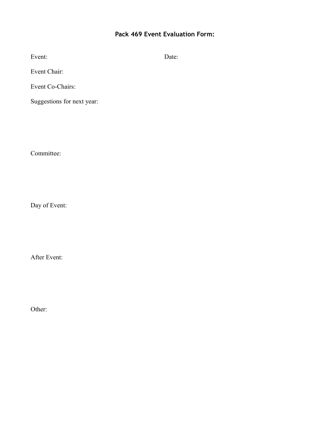## **Pack 469 Event Evaluation Form:**

<span id="page-4-0"></span>

| Event: | Date: |
|--------|-------|
|        |       |

Event Chair:

Event Co-Chairs:

Suggestions for next year:

Committee:

Day of Event:

After Event:

Other: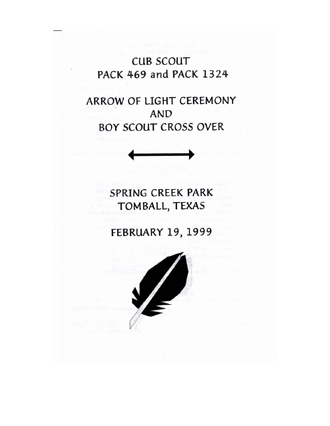**CUB SCOUT** PACK 469 and PACK 1324

ARROW OF LIGHT CEREMONY **AND BOY SCOUT CROSS OVER** 



SPRING CREEK PARK TOMBALL, TEXAS

**FEBRUARY 19, 1999** 

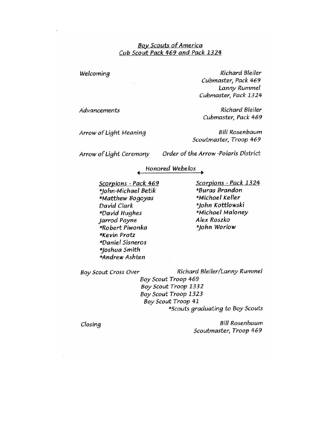#### **Boy Scouts of America** Cub Scout Pack 469 and Pack 1324

Welcoming

**Richard Bleiler** Cubmaster, Pack 469 Lanny Rummel Cubmaster, Pack 1324

Cubmaster, Pack 469

Scoutmaster, Troop 469

**Richard Bleiler** 

**Bill Rosenbaum** 

Advancements

Arrow of Light Meaning

Arrow of Light Ceremony

Order of the Arrow -Polaris District

#### Honored Webelos

Scorpions - Pack 469 \*John-Michael Betik \*Matthew Bogoyas David Clark \*David Hughes Jarrod Payne \*Robert Piwonka \*Kevin Pratz \*Daniel Sisneros \*Joshua Smith \*Andrew Ashten

Scorpions - Pack 1324 \*Buras Brandon \*Michael Keller \*John Kottlowski \*Michael Maloney Alex Roszko \*John Worlow

**Boy Scout Cross Over** 

Richard Bleiler/Lanny Rummel

Boy Scout Troop 469 Boy Scout Troop 1332 Boy Scout Troop 1323 Boy Scout Troop 41 \*Scouts graduating to Boy Scouts

Closing

**Bill Rosenbaum** Scoutmaster, Troop 469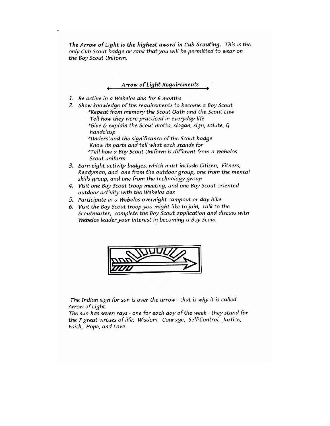The Arrow of Light is the highest award in Cub Scouting. This is the only Cub Scout badge or rank that you will be permitted to wear on the Boy Scout Uniform.

#### Arrow of Light Requirements

- 1. Be active in a Webelos den for 6 months
- 2. Show knowledge of the requirements to become a Boy Scout \*Repeat from memory the Scout Oath and the Scout Law Tell how they were practiced in everyday life

\*Give & explain the Scout motto, slogan, sign, salute, & handclasp

\*Understand the significance of the Scout badge Know its parts and tell what each stands for \*Tell how a Boy Scout Uniform is different from a Webelos Scout uniform

- 3. Earn eight activity badges, which must include Citizen, Fitness, Readyman, and one from the outdoor group, one from the mental skills group, and one from the technology group
- 4. Visit one Boy Scout troop meeting, and one Boy Scout oriented outdoor activity with the Webelos den
- 5. Participate in a Webelos overnight campout or day hike
- 6. Visit the Boy Scout troop you might like to join, talk to the Scoutmaster, complete the Boy Scout application and discuss with Webelos leader your interest in becoming a Boy Scout



The Indian sign for sun is over the arrow - that is why it is called Arrow of Light.

The sun has seven rays - one for each day of the week - they stand for the 7 great virtues of life; Wisdom, Courage, Self-Control, Justice, Faith, Hope, and Love.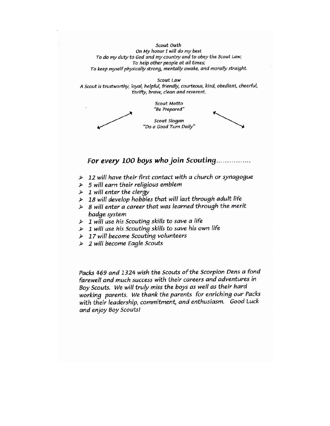Scout Oath On My honor I will do my best To do my duty to God and my country and to obey the Scout Law; To help other people at all times; To keep myself physically strong, mentally awake, and morally straight.

Scout Law A Scout is trustworthy, loyal, helpful, friendly, courteous, kind, obedient, cheerful, thrifty, brave, clean and reverent.

> Scout Motto "Be Prepared"

Scout Slogan "Do a Good Turn Daily"

For every 100 boys who join Scouting................

- $\triangleright$  12 will have their first contact with a church or synagogue
- $\triangleright$  5 will earn their religious emblem
- $\triangleright$  1 will enter the clergy
- > 18 will develop hobbies that will last through adult life
- $\triangleright$  8 will enter a career that was learned through the merit badge system
- $\triangleright$  1 will use his Scouting skills to save a life
- $\triangleright$  1 will use his Scouting skills to save his own life
- $\triangleright$  17 will become Scouting volunteers
- $\triangleright$  2 will become Eagle Scouts

Packs 469 and 1324 wish the Scouts of the Scorpion Dens a fond farewell and much success with their careers and adventures in Boy Scouts. We will truly miss the boys as well as their hard working parents. We thank the parents for enriching our Packs with their leadership, commitment, and enthusiasm. Good Luck and enjoy Boy Scouts!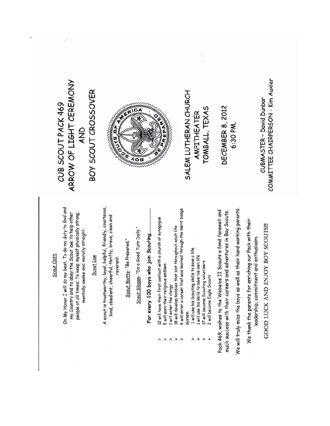#### COMMITTEE CHAIRPERSON - Kim Auxier ARROW OF LIGHT CEREMONY BOY SCOUT CROSSOVER SALEM LUTHERAN CHURCH CUBMASTER - David Dunbar CUB SCOUT PACK 469 DECEMBER 8, 2012 TOMBALL, TEXAS  $\overline{c}$ AMPITHEATER 6:30 PM. AND  $\overline{408}$ A scout is trustworthy, loyal, helpful, friendly, courteous, On My Honor I will do my best, To do my duty to God and We will truly miss the boys as well as their hard working parents. B will enter a career that was learned through the merit badge Pack 469, wishes to the Webelos II Scouts a fond farewell and much success with their careers and adventures in Boy Scouts. my Country and to obey the Scout law; to help other people at all times; To keep myself physically strong, kind, obedient, cheerful, thrifty, brave, clean and 12 will have their first contact with a church or synagogue We thank the parents for enriching our Pack with their GOOD LUCK AND ENJOY BOY SCOUTS!! 18 will develop hobbies that last throughout adult life mentally awake and morally straight. Scout Slogan-"Do a Good Turn Daily." For every 100 boys who join Scouting. leadership, commitment and enthusiasm. Scout Motto-"Be Prepared." 1 will use his Scouting skills to save a life Scout Oath I will use his skills to save his own life Scout Law reverent. 17 will become Scouting volunteers 5 will earn their religious emblem 2 will become Eagle Scouts I will enter the clergy system

A A

AAA

 $\mathbf{A}$ AA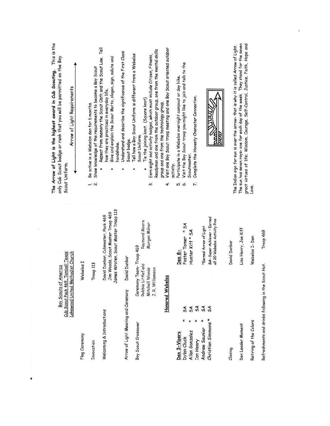| This is the<br>only Cub Scout badge or rank that you will be permitted on the Boy<br>The Arrow of Light is the highest award in Cub Scouting.<br>Arrow of Light Requirements<br>Scout Uniform. |               | Show knowledge of the requirements to become a Boy Scout<br>Be active in a Webelos den for 6 months.<br>$\overline{u}$ in | Repeat from memory the Scout Oath and the Scout Law. Tell<br>Give and explain the Scout Motto, slogan, sign, salute and<br>how they are practiced in everyday life.<br>handshake. | Understand and describe the significance of the First Class<br>Scout badge. | Readyman and one from the outdoor group, one from the mental skills<br>Tell how a Boy Scout Uniform is different from a Webelos<br>Earn eight and activity badges, which must include Citizen, Fitness,<br>Tie the joining knot. (Square knot)<br>Scout Uniform.<br>៳໋ | Visit one Boy Scout troop meeting and one Boy Scout oriented outdoor<br>group and one from the technology group.<br>activity.<br>4. | Participate in a Webelos overnight campout or day hike.<br>ம் ம் | Visit the Boy Scout troop you might like to join and talk to the<br>Scoutmaster. | Complete the Honesty Character Connection.<br>7. |                        | man                                                        | The Indian sign for sun is over the arrow- that is why it is called Arrow of Light. | The sun has seven rays- one for each day of the week. They stand for the seven<br>great virtues of life; Wisdom, Courage, Self-Control, Justice, Faith, Hope and | Love.                                                                         |  |
|------------------------------------------------------------------------------------------------------------------------------------------------------------------------------------------------|---------------|---------------------------------------------------------------------------------------------------------------------------|-----------------------------------------------------------------------------------------------------------------------------------------------------------------------------------|-----------------------------------------------------------------------------|------------------------------------------------------------------------------------------------------------------------------------------------------------------------------------------------------------------------------------------------------------------------|-------------------------------------------------------------------------------------------------------------------------------------|------------------------------------------------------------------|----------------------------------------------------------------------------------|--------------------------------------------------|------------------------|------------------------------------------------------------|-------------------------------------------------------------------------------------|------------------------------------------------------------------------------------------------------------------------------------------------------------------|-------------------------------------------------------------------------------|--|
| Cub Scout Pack 469, Tomball Texas<br>Lakewood United Methodist Church<br>America                                                                                                               | Webelos I     | Troop 113                                                                                                                 | James Wroten, Scout Master Troop 113<br>Jim Woods, Scout Master Troop 469<br>David Dunbar, Cubmaster, Pack 469                                                                    | David Dunbar                                                                | Raymond Moore<br>Morgan Milner<br>Ceremony Team-Troop 469<br>Robbie Littlefield<br>J. R. Williamson<br>Mitchell Woods                                                                                                                                                  |                                                                                                                                     | Den 8-                                                           | Foster Tomer * SA<br>Hunter Kiff * SA                                            |                                                  | *Earned Arrow of Light | SA-Super Achiever - Earned<br>all 20 Webelos Activity Pins | David Dunbar                                                                        | Lisa Henry, Joe Kiff                                                                                                                                             | Troop 469<br>Webelos I-Den                                                    |  |
| Boy Scouts of                                                                                                                                                                                  | Flag Ceremony | Invocation                                                                                                                | Welcoming & Introductions                                                                                                                                                         | Arrow of Light Meaning and Ceremony                                         | Boy Scout Crossover                                                                                                                                                                                                                                                    | <b>Honored Webelos</b>                                                                                                              | Den 3-Vipers                                                     | SÃ<br>SÃ<br>Allan Gonzalez<br>Dylan Cluck                                        | <b>SA</b><br>Ian Henry                           | 54<br>Andrew Saunier   | 5A<br>Christian Simmons *                                  | Closing                                                                             | Den Leader Moment                                                                                                                                                | Refreshments and drinks following in the Scout Hut.<br>Retiring of the Colors |  |

 $\blacksquare$ 

 $\sim 0.01$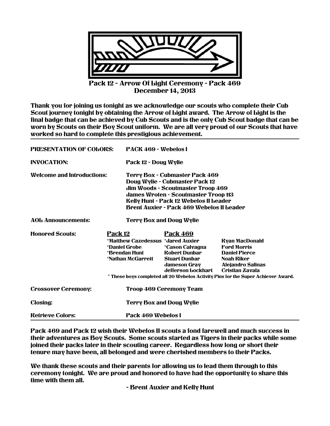<span id="page-11-0"></span>

Pack 12 - Arrow Of Light Ceremony - Pack 469 December 14, 2013

Thank you for joining us tonight as we acknowledge our scouts who complete their Cub Scout journey tonight by obtaining the Arrow of Light award. The Arrow of Light is the final badge that can be achieved by Cub Scouts and is the only Cub Scout badge that can be worn by Scouts on their Boy Scout uniform. We are all very proud of our Scouts that have worked so hard to complete this prestigious achievement.

| <b>PRESENTATION OF COLORS:</b>    |                                                                                                     | PAGK 469 - Webelos I                                                                                                                                                                                                                                      |                                                                                                                                                                                                                                     |  |  |  |  |  |  |
|-----------------------------------|-----------------------------------------------------------------------------------------------------|-----------------------------------------------------------------------------------------------------------------------------------------------------------------------------------------------------------------------------------------------------------|-------------------------------------------------------------------------------------------------------------------------------------------------------------------------------------------------------------------------------------|--|--|--|--|--|--|
| <b>INVOGATION:</b>                |                                                                                                     | Pack 12 - Doug Wylie                                                                                                                                                                                                                                      |                                                                                                                                                                                                                                     |  |  |  |  |  |  |
| <b>Welcome and Introductions:</b> |                                                                                                     | Terry Box - Cubmaster Pack 469<br>Doug Wylie - Cubmaster Pack 12<br>Jim Woods - Scoutmaster Troop 469<br><b>James Wroten - Scoutmaster Troop 113</b><br><b>Kelly Hunt - Pack 12 Webelos II Leader</b><br><b>Brent Auxier - Pack 469 Webelos II Leader</b> |                                                                                                                                                                                                                                     |  |  |  |  |  |  |
| <b>AOL Announcements:</b>         |                                                                                                     | <b>Terry Box and Doug Wylie</b>                                                                                                                                                                                                                           |                                                                                                                                                                                                                                     |  |  |  |  |  |  |
| <b>Honored Scouts:</b>            | Pack 12<br>*Matthew Gazedessus *Jared Auxier<br>*Daniel Grobe<br>*Brendan Hunt<br>*Nathan McGarrett | <b>Pack 469</b><br><i><b>*Cason Calvagna</b></i><br><b>Robert Dunbar</b><br><b>Stuart Dunbar</b><br><b>Jameson Gray</b><br>defferson bockhart                                                                                                             | <b>Ryan MacDonald</b><br><b>Ford Morris</b><br><b>Daniel Pierce</b><br><b>Noah Riker</b><br><b>Alejandro Salinas</b><br><b>Cristian Zavala</b><br>* These boys completed all 20 Webelos Activity Pins for the Super Achiever Award. |  |  |  |  |  |  |
| <b>Crossover Ceremony:</b>        |                                                                                                     | <b>Troop 469 Geremony Team</b>                                                                                                                                                                                                                            |                                                                                                                                                                                                                                     |  |  |  |  |  |  |
| <b>Closing:</b>                   |                                                                                                     | <b>Terry Box and Doug Wylie</b>                                                                                                                                                                                                                           |                                                                                                                                                                                                                                     |  |  |  |  |  |  |
| <b>Retrieve Colors:</b>           |                                                                                                     | Pack 469 Webelos I                                                                                                                                                                                                                                        |                                                                                                                                                                                                                                     |  |  |  |  |  |  |

Pack 469 and Pack 12 wish their Webelos II scouts a fond farewell and much success in their adventures as Boy Scouts. Some scouts started as Tigers in their packs while some joined their packs later in their scouting career. Regardless how long or short their tenure may have been, all belonged and were cherished members to their Packs.

We thank these scouts and their parents for allowing us to lead them through to this ceremony tonight. We are proud and honored to have had the opportunity to share this time with them all.

- Brent Auxier and Kelly Hunt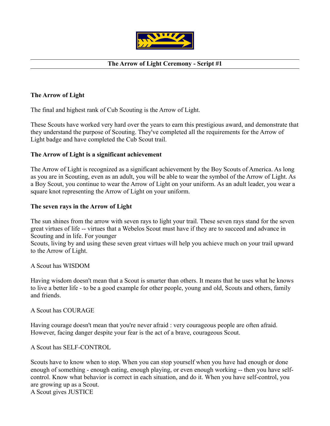

## **The Arrow of Light Ceremony - Script #1**

## <span id="page-12-0"></span>**The Arrow of Light**

The final and highest rank of Cub Scouting is the Arrow of Light.

These Scouts have worked very hard over the years to earn this prestigious award, and demonstrate that they understand the purpose of Scouting. They've completed all the requirements for the Arrow of Light badge and have completed the Cub Scout trail.

## **The Arrow of Light is a significant achievement**

The Arrow of Light is recognized as a significant achievement by the Boy Scouts of America. As long as you are in Scouting, even as an adult, you will be able to wear the symbol of the Arrow of Light. As a Boy Scout, you continue to wear the Arrow of Light on your uniform. As an adult leader, you wear a square knot representing the Arrow of Light on your uniform.

## **The seven rays in the Arrow of Light**

The sun shines from the arrow with seven rays to light your trail. These seven rays stand for the seven great virtues of life -- virtues that a Webelos Scout must have if they are to succeed and advance in Scouting and in life. For younger

Scouts, living by and using these seven great virtues will help you achieve much on your trail upward to the Arrow of Light.

A Scout has WISDOM

Having wisdom doesn't mean that a Scout is smarter than others. It means that he uses what he knows to live a better life - to be a good example for other people, young and old, Scouts and others, family and friends.

A Scout has COURAGE

Having courage doesn't mean that you're never afraid : very courageous people are often afraid. However, facing danger despite your fear is the act of a brave, courageous Scout.

A Scout has SELF-CONTROL

Scouts have to know when to stop. When you can stop yourself when you have had enough or done enough of something - enough eating, enough playing, or even enough working -- then you have selfcontrol. Know what behavior is correct in each situation, and do it. When you have self-control, you are growing up as a Scout. A Scout gives JUSTICE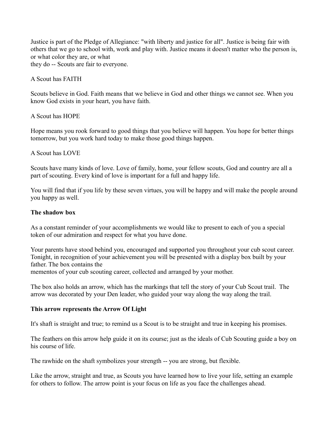Justice is part of the Pledge of Allegiance: "with liberty and justice for all". Justice is being fair with others that we go to school with, work and play with. Justice means it doesn't matter who the person is, or what color they are, or what they do -- Scouts are fair to everyone.

A Scout has FAITH

Scouts believe in God. Faith means that we believe in God and other things we cannot see. When you know God exists in your heart, you have faith.

A Scout has HOPE

Hope means you rook forward to good things that you believe will happen. You hope for better things tomorrow, but you work hard today to make those good things happen.

A Scout has LOVE

Scouts have many kinds of love. Love of family, home, your fellow scouts, God and country are all a part of scouting. Every kind of love is important for a full and happy life.

You will find that if you life by these seven virtues, you will be happy and will make the people around you happy as well.

#### **The shadow box**

As a constant reminder of your accomplishments we would like to present to each of you a special token of our admiration and respect for what you have done.

Your parents have stood behind you, encouraged and supported you throughout your cub scout career. Tonight, in recognition of your achievement you will be presented with a display box built by your father. The box contains the

mementos of your cub scouting career, collected and arranged by your mother.

The box also holds an arrow, which has the markings that tell the story of your Cub Scout trail. The arrow was decorated by your Den leader, who guided your way along the way along the trail.

#### **This arrow represents the Arrow Of Light**

It's shaft is straight and true; to remind us a Scout is to be straight and true in keeping his promises.

The feathers on this arrow help guide it on its course; just as the ideals of Cub Scouting guide a boy on his course of life.

The rawhide on the shaft symbolizes your strength -- you are strong, but flexible.

Like the arrow, straight and true, as Scouts you have learned how to live your life, setting an example for others to follow. The arrow point is your focus on life as you face the challenges ahead.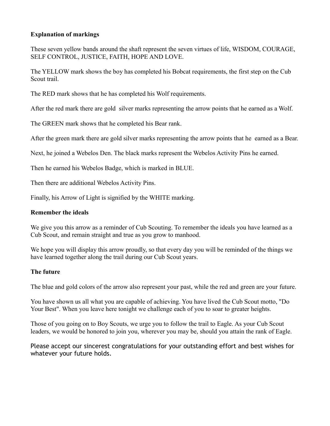## **Explanation of markings**

These seven yellow bands around the shaft represent the seven virtues of life, WISDOM, COURAGE, SELF CONTROL, JUSTICE, FAITH, HOPE AND LOVE.

The YELLOW mark shows the boy has completed his Bobcat requirements, the first step on the Cub Scout trail.

The RED mark shows that he has completed his Wolf requirements.

After the red mark there are gold silver marks representing the arrow points that he earned as a Wolf.

The GREEN mark shows that he completed his Bear rank.

After the green mark there are gold silver marks representing the arrow points that he earned as a Bear.

Next, he joined a Webelos Den. The black marks represent the Webelos Activity Pins he earned.

Then he earned his Webelos Badge, which is marked in BLUE.

Then there are additional Webelos Activity Pins.

Finally, his Arrow of Light is signified by the WHITE marking.

## **Remember the ideals**

We give you this arrow as a reminder of Cub Scouting. To remember the ideals you have learned as a Cub Scout, and remain straight and true as you grow to manhood.

We hope you will display this arrow proudly, so that every day you will be reminded of the things we have learned together along the trail during our Cub Scout years.

## **The future**

The blue and gold colors of the arrow also represent your past, while the red and green are your future.

You have shown us all what you are capable of achieving. You have lived the Cub Scout motto, "Do Your Best". When you leave here tonight we challenge each of you to soar to greater heights.

Those of you going on to Boy Scouts, we urge you to follow the trail to Eagle. As your Cub Scout leaders, we would be honored to join you, wherever you may be, should you attain the rank of Eagle.

Please accept our sincerest congratulations for your outstanding effort and best wishes for whatever your future holds.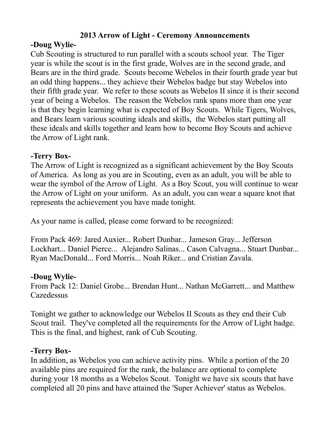# **2013 Arrow of Light - Ceremony Announcements**

# <span id="page-15-0"></span>**-Doug Wylie-**

Cub Scouting is structured to run parallel with a scouts school year. The Tiger year is while the scout is in the first grade, Wolves are in the second grade, and Bears are in the third grade. Scouts become Webelos in their fourth grade year but an odd thing happens... they achieve their Webelos badge but stay Webelos into their fifth grade year. We refer to these scouts as Webelos II since it is their second year of being a Webelos. The reason the Webelos rank spans more than one year is that they begin learning what is expected of Boy Scouts. While Tigers, Wolves, and Bears learn various scouting ideals and skills, the Webelos start putting all these ideals and skills together and learn how to become Boy Scouts and achieve the Arrow of Light rank.

# **-Terry Box-**

The Arrow of Light is recognized as a significant achievement by the Boy Scouts of America. As long as you are in Scouting, even as an adult, you will be able to wear the symbol of the Arrow of Light. As a Boy Scout, you will continue to wear the Arrow of Light on your uniform. As an adult, you can wear a square knot that represents the achievement you have made tonight.

As your name is called, please come forward to be recognized:

From Pack 469: Jared Auxier... Robert Dunbar... Jameson Gray... Jefferson Lockhart... Daniel Pierce... Alejandro Salinas... Cason Calvagna... Stuart Dunbar... Ryan MacDonald... Ford Morris... Noah Riker... and Cristian Zavala.

## **-Doug Wylie-**

From Pack 12: Daniel Grobe... Brendan Hunt... Nathan McGarrett... and Matthew **Cazedessus** 

Tonight we gather to acknowledge our Webelos II Scouts as they end their Cub Scout trail. They've completed all the requirements for the Arrow of Light badge. This is the final, and highest, rank of Cub Scouting.

## **-Terry Box-**

In addition, as Webelos you can achieve activity pins. While a portion of the 20 available pins are required for the rank, the balance are optional to complete during your 18 months as a Webelos Scout. Tonight we have six scouts that have completed all 20 pins and have attained the 'Super Achiever' status as Webelos.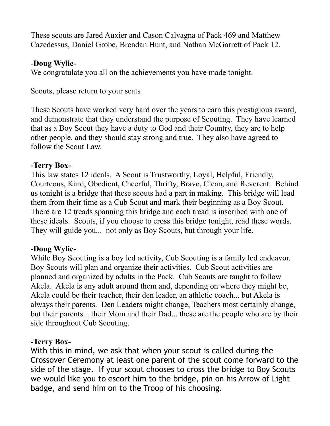These scouts are Jared Auxier and Cason Calvagna of Pack 469 and Matthew Cazedessus, Daniel Grobe, Brendan Hunt, and Nathan McGarrett of Pack 12.

## **-Doug Wylie-**

We congratulate you all on the achievements you have made tonight.

Scouts, please return to your seats

These Scouts have worked very hard over the years to earn this prestigious award, and demonstrate that they understand the purpose of Scouting. They have learned that as a Boy Scout they have a duty to God and their Country, they are to help other people, and they should stay strong and true. They also have agreed to follow the Scout Law.

# **-Terry Box-**

This law states 12 ideals. A Scout is Trustworthy, Loyal, Helpful, Friendly, Courteous, Kind, Obedient, Cheerful, Thrifty, Brave, Clean, and Reverent. Behind us tonight is a bridge that these scouts had a part in making. This bridge will lead them from their time as a Cub Scout and mark their beginning as a Boy Scout. There are 12 treads spanning this bridge and each tread is inscribed with one of these ideals. Scouts, if you choose to cross this bridge tonight, read these words. They will guide you... not only as Boy Scouts, but through your life.

# **-Doug Wylie-**

While Boy Scouting is a boy led activity, Cub Scouting is a family led endeavor. Boy Scouts will plan and organize their activities. Cub Scout activities are planned and organized by adults in the Pack. Cub Scouts are taught to follow Akela. Akela is any adult around them and, depending on where they might be, Akela could be their teacher, their den leader, an athletic coach... but Akela is always their parents. Den Leaders might change, Teachers most certainly change, but their parents... their Mom and their Dad... these are the people who are by their side throughout Cub Scouting.

## **-Terry Box-**

With this in mind, we ask that when your scout is called during the Crossover Ceremony at least one parent of the scout come forward to the side of the stage. If your scout chooses to cross the bridge to Boy Scouts we would like you to escort him to the bridge, pin on his Arrow of Light badge, and send him on to the Troop of his choosing.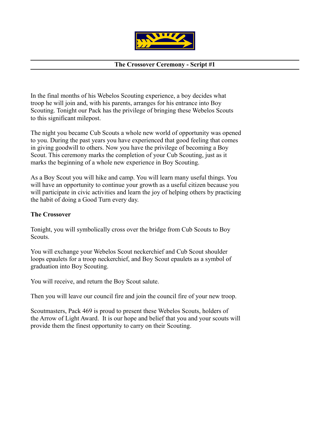

## **The Crossover Ceremony - Script #1**

<span id="page-17-0"></span>In the final months of his Webelos Scouting experience, a boy decides what troop he will join and, with his parents, arranges for his entrance into Boy Scouting. Tonight our Pack has the privilege of bringing these Webelos Scouts to this significant milepost.

The night you became Cub Scouts a whole new world of opportunity was opened to you. During the past years you have experienced that good feeling that comes in giving goodwill to others. Now you have the privilege of becoming a Boy Scout. This ceremony marks the completion of your Cub Scouting, just as it marks the beginning of a whole new experience in Boy Scouting.

As a Boy Scout you will hike and camp. You will learn many useful things. You will have an opportunity to continue your growth as a useful citizen because you will participate in civic activities and learn the joy of helping others by practicing the habit of doing a Good Turn every day.

#### **The Crossover**

Tonight, you will symbolically cross over the bridge from Cub Scouts to Boy Scouts.

You will exchange your Webelos Scout neckerchief and Cub Scout shoulder loops epaulets for a troop neckerchief, and Boy Scout epaulets as a symbol of graduation into Boy Scouting.

You will receive, and return the Boy Scout salute.

Then you will leave our council fire and join the council fire of your new troop.

Scoutmasters, Pack 469 is proud to present these Webelos Scouts, holders of the Arrow of Light Award. It is our hope and belief that you and your scouts will provide them the finest opportunity to carry on their Scouting.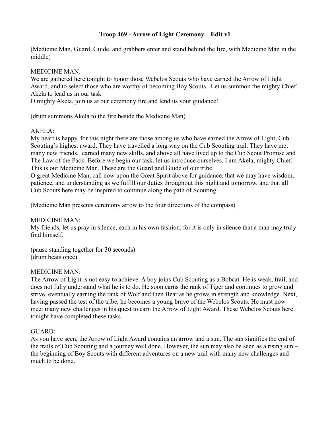## **Troop 469 - Arrow of Light Ceremony – Edit v1**

<span id="page-18-0"></span>(Medicine Man, Guard, Guide, and grabbers enter and stand behind the fire, with Medicine Man in the middle)

MEDICINE MAN:

We are gathered here tonight to honor those Webelos Scouts who have earned the Arrow of Light Award, and to select those who are worthy of becoming Boy Scouts. Let us summon the mighty Chief Akela to lead us in our task

O mighty Akela, join us at our ceremony fire and lend us your guidance!

(drum summons Akela to the fire beside the Medicine Man)

#### AKELA:

My heart is happy, for this night there are those among us who have earned the Arrow of Light, Cub Scouting's highest award. They have travelled a long way on the Cub Scouting trail. They have met many new friends, learned many new skills, and above all have lived up to the Cub Scout Promise and The Law of the Pack. Before we begin our task, let us introduce ourselves. I am Akela, mighty Chief. This is our Medicine Man. These are the Guard and Guide of our tribe.

O great Medicine Man, call now upon the Great Spirit above for guidance, that we may have wisdom, patience, and understanding as we fulfill our duties throughout this night and tomorrow, and that all Cub Scouts here may be inspired to continue along the path of Scouting.

(Medicine Man presents ceremony arrow to the four directions of the compass)

MEDICINE MAN:

My friends, let us pray in silence, each in his own fashion, for it is only in silence that a man may truly find himself.

(pause standing together for 30 seconds) (drum beats once)

#### MEDICINE MAN:

The Arrow of Light is not easy to achieve. A boy joins Cub Scouting as a Bobcat. He is weak, frail, and does not fully understand what he is to do. He soon earns the rank of Tiger and continues to grow and strive, eventually earning the rank of Wolf and then Bear as he grows in strength and knowledge. Next, having passed the test of the tribe, he becomes a young brave of the Webelos Scouts. He must now meet many new challenges in his quest to earn the Arrow of Light Award. These Webelos Scouts here tonight have completed these tasks.

## GUARD:

As you have seen, the Arrow of Light Award contains an arrow and a sun. The sun signifies the end of the trails of Cub Scouting and a journey well done. However, the sun may also be seen as a rising sun – the beginning of Boy Scouts with different adventures on a new trail with many new challenges and much to be done.